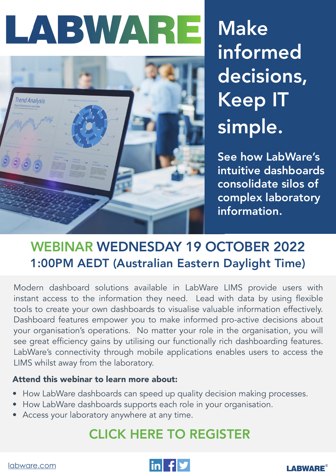# LABWARE



Make informed decisions, Keep IT simple.

See how LabWare's intuitive dashboards consolidate silos of complex laboratory information.

### WEBINAR WEDNESDAY 19 OCTOBER 2022 1:00PM AEDT (Australian Eastern Daylight Time)

Modern dashboard solutions available in LabWare LIMS provide users with instant access to the information they need. Lead with data by using flexible tools to create your own dashboards to visualise valuable information effectively. Dashboard features empower you to make informed pro-active decisions about your organisation's operations. No matter your role in the organisation, you will see great efficiency gains by utilising our functionally rich dashboarding features. LabWare's connectivity through mobile applications enables users to access the LIMS whilst away from the laboratory.

#### Attend this webinar to learn more about:

- How LabWare dashboards can speed up quality decision making processes.
- How LabWare dashboards supports each role in your organisation.
- Access your laboratory anywhere at any time.

### [CLICK HERE TO REGISTER](https://cvent.me/DW52qN)